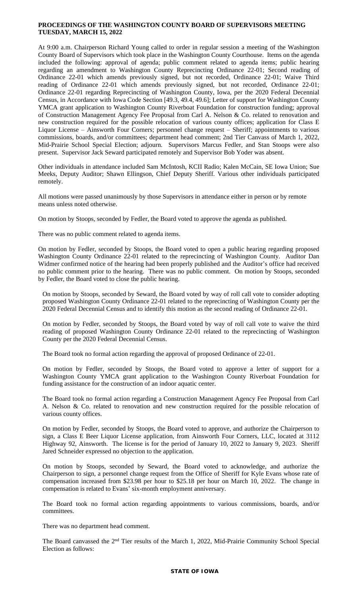## **PROCEEDINGS OF THE WASHINGTON COUNTY BOARD OF SUPERVISORS MEETING TUESDAY, MARCH 15, 2022**

At 9:00 a.m. Chairperson Richard Young called to order in regular session a meeting of the Washington County Board of Supervisors which took place in the Washington County Courthouse. Items on the agenda included the following: approval of agenda; public comment related to agenda items; public hearing regarding an amendment to Washington County Reprecincting Ordinance 22-01; Second reading of Ordinance 22-01 which amends previously signed, but not recorded, Ordinance 22-01; Waive Third reading of Ordinance 22-01 which amends previously signed, but not recorded, Ordinance 22-01; Ordinance 22-01 regarding Reprecincting of Washington County, Iowa, per the 2020 Federal Decennial Census, in Accordance with Iowa Code Section [49.3, 49.4, 49.6]; Letter of support for Washington County YMCA grant application to Washington County Riverboat Foundation for construction funding; approval of Construction Management Agency Fee Proposal from Carl A. Nelson & Co. related to renovation and new construction required for the possible relocation of various county offices; application for Class E Liquor License – Ainsworth Four Corners; personnel change request – Sheriff; appointments to various commissions, boards, and/or committees; department head comment; 2nd Tier Canvass of March 1, 2022, Mid-Prairie School Special Election; adjourn. Supervisors Marcus Fedler, and Stan Stoops were also present. Supervisor Jack Seward participated remotely and Supervisor Bob Yoder was absent.

Other individuals in attendance included Sam McIntosh, KCII Radio; Kalen McCain, SE Iowa Union; Sue Meeks, Deputy Auditor; Shawn Ellingson, Chief Deputy Sheriff. Various other individuals participated remotely.

All motions were passed unanimously by those Supervisors in attendance either in person or by remote means unless noted otherwise.

On motion by Stoops, seconded by Fedler, the Board voted to approve the agenda as published.

There was no public comment related to agenda items.

On motion by Fedler, seconded by Stoops, the Board voted to open a public hearing regarding proposed Washington County Ordinance 22-01 related to the reprecincting of Washington County. Auditor Dan Widmer confirmed notice of the hearing had been properly published and the Auditor's office had received no public comment prior to the hearing. There was no public comment. On motion by Stoops, seconded by Fedler, the Board voted to close the public hearing.

On motion by Stoops, seconded by Seward, the Board voted by way of roll call vote to consider adopting proposed Washington County Ordinance 22-01 related to the reprecincting of Washington County per the 2020 Federal Decennial Census and to identify this motion as the second reading of Ordinance 22-01.

On motion by Fedler, seconded by Stoops, the Board voted by way of roll call vote to waive the third reading of proposed Washington County Ordinance 22-01 related to the reprecincting of Washington County per the 2020 Federal Decennial Census.

The Board took no formal action regarding the approval of proposed Ordinance of 22-01.

On motion by Fedler, seconded by Stoops, the Board voted to approve a letter of support for a Washington County YMCA grant application to the Washington County Riverboat Foundation for funding assistance for the construction of an indoor aquatic center.

The Board took no formal action regarding a Construction Management Agency Fee Proposal from Carl A. Nelson & Co. related to renovation and new construction required for the possible relocation of various county offices.

On motion by Fedler, seconded by Stoops, the Board voted to approve, and authorize the Chairperson to sign, a Class E Beer Liquor License application, from Ainsworth Four Corners, LLC, located at 3112 Highway 92, Ainsworth. The license is for the period of January 10, 2022 to January 9, 2023. Sheriff Jared Schneider expressed no objection to the application.

On motion by Stoops, seconded by Seward, the Board voted to acknowledge, and authorize the Chairperson to sign, a personnel change request from the Office of Sheriff for Kyle Evans whose rate of compensation increased from \$23.98 per hour to \$25.18 per hour on March 10, 2022. The change in compensation is related to Evans' six-month employment anniversary.

The Board took no formal action regarding appointments to various commissions, boards, and/or committees.

There was no department head comment.

The Board canvassed the 2<sup>nd</sup> Tier results of the March 1, 2022, Mid-Prairie Community School Special Election as follows: